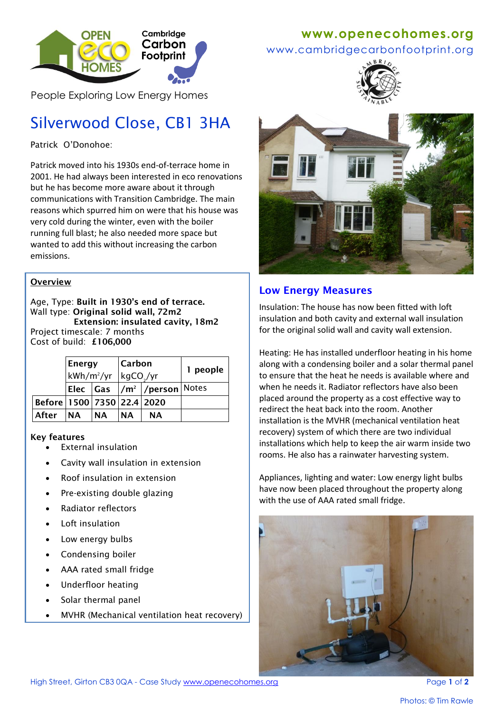

People Exploring Low Energy Homes

# Silverwood Close, CB1 3HA

Patrick O'Donohoe:

Patrick moved into his 1930s end-of-terrace home in 2001. He had always been interested in eco renovations but he has become more aware about it through communications with Transition Cambridge. The main reasons which spurred him on were that his house was very cold during the winter, even with the boiler running full blast; he also needed more space but wanted to add this without increasing the carbon emissions.

#### **Overview**

Age, Type: **Built in 1930's end of terrace.** Wall type: **Original solid wall, 72m2 Extension: insulated cavity, 18m2** Project timescale: 7 months Cost of build: **£106,000**

|                                    | <b>Energy</b><br>$kWh/m^2/yr$ |           | <b>Carbon</b><br>$kgCO$ /yr |                               | 1 people |
|------------------------------------|-------------------------------|-----------|-----------------------------|-------------------------------|----------|
|                                    |                               |           |                             | Elec  Gas  /m²  /person Notes |          |
| Before   1500   7350   22.4   2020 |                               |           |                             |                               |          |
| After                              | <b>NA</b>                     | <b>NA</b> | <b>NA</b>                   | ΝA                            |          |

#### **Key features**

- External insulation
- Cavity wall insulation in extension
- Roof insulation in extension
- Pre-existing double glazing
- Radiator reflectors
- Loft insulation
- Low energy bulbs
- Condensing boiler
- AAA rated small fridge
- Underfloor heating
- Solar thermal panel
- MVHR (Mechanical ventilation heat recovery)

## **www[.openecohomes.org](http://www.openecohomes.org/)**

#### www.cambridgecarbonfootprint.org





## **Low Energy Measures**

Insulation: The house has now been fitted with loft insulation and both cavity and external wall insulation for the original solid wall and cavity wall extension.

Heating: He has installed underfloor heating in his home along with a condensing boiler and a solar thermal panel to ensure that the heat he needs is available where and when he needs it. Radiator reflectors have also been placed around the property as a cost effective way to redirect the heat back into the room. Another installation is the MVHR (mechanical ventilation heat recovery) system of which there are two individual installations which help to keep the air warm inside two rooms. He also has a rainwater harvesting system.

Appliances, lighting and water: Low energy light bulbs have now been placed throughout the property along with the use of AAA rated small fridge.